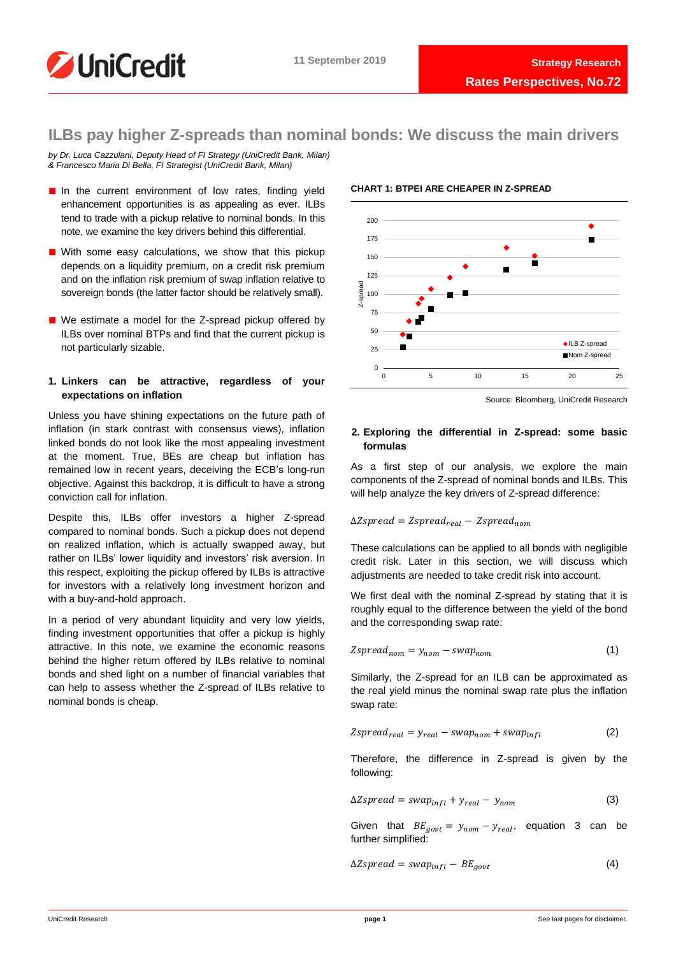

# **ILBs pay higher Z-spreads than nominal bonds: We discuss the main drivers**

*by Dr. Luca Cazzulani, Deputy Head of FI Strategy (UniCredit Bank, Milan) & Francesco Maria Di Bella, FI Strategist (UniCredit Bank, Milan)*

- In the current environment of low rates, finding yield enhancement opportunities is as appealing as ever. ILBs tend to trade with a pickup relative to nominal bonds. In this note, we examine the key drivers behind this differential.
- With some easy calculations, we show that this pickup depends on a liquidity premium, on a credit risk premium and on the inflation risk premium of swap inflation relative to sovereign bonds (the latter factor should be relatively small).
- We estimate a model for the Z-spread pickup offered by ILBs over nominal BTPs and find that the current pickup is not particularly sizable.

# **1. Linkers can be attractive, regardless of your expectations on inflation**

Unless you have shining expectations on the future path of inflation (in stark contrast with consensus views), inflation linked bonds do not look like the most appealing investment at the moment. True, BEs are cheap but inflation has remained low in recent years, deceiving the ECB's long-run objective. Against this backdrop, it is difficult to have a strong conviction call for inflation.

Despite this, ILBs offer investors a higher Z-spread compared to nominal bonds. Such a pickup does not depend on realized inflation, which is actually swapped away, but rather on ILBs' lower liquidity and investors' risk aversion. In this respect, exploiting the pickup offered by ILBs is attractive for investors with a relatively long investment horizon and with a buy-and-hold approach.

In a period of very abundant liquidity and very low yields, finding investment opportunities that offer a pickup is highly attractive. In this note, we examine the economic reasons behind the higher return offered by ILBs relative to nominal bonds and shed light on a number of financial variables that can help to assess whether the Z-spread of ILBs relative to nominal bonds is cheap.

# **CHART 1: BTPEI ARE CHEAPER IN Z-SPREAD**



Source: Bloomberg, UniCredit Research

# **2. Exploring the differential in Z-spread: some basic formulas**

As a first step of our analysis, we explore the main components of the Z-spread of nominal bonds and ILBs. This will help analyze the key drivers of Z-spread difference:

$$
\Delta Z spread = Zspread_{real} - Zspread_{nom}
$$

These calculations can be applied to all bonds with negligible credit risk. Later in this section, we will discuss which adjustments are needed to take credit risk into account.

We first deal with the nominal Z-spread by stating that it is roughly equal to the difference between the yield of the bond and the corresponding swap rate:

$$
Zspread_{nom} = y_{nom} - swap_{nom}
$$
 (1)

Similarly, the Z-spread for an ILB can be approximated as the real yield minus the nominal swap rate plus the inflation swap rate:

$$
Zspread_{real} = y_{real} - swap_{nom} + swap_{infl}
$$
 (2)

Therefore, the difference in Z-spread is given by the following:

$$
\Delta Z spread = swap_{infl} + y_{real} - y_{nom}
$$
 (3)

Given that  $BE_{gout} = y_{nom} - y_{real}$ , equation 3 can be further simplified:

$$
\Delta Z spread = swap_{infl} - BE_{gout} \tag{4}
$$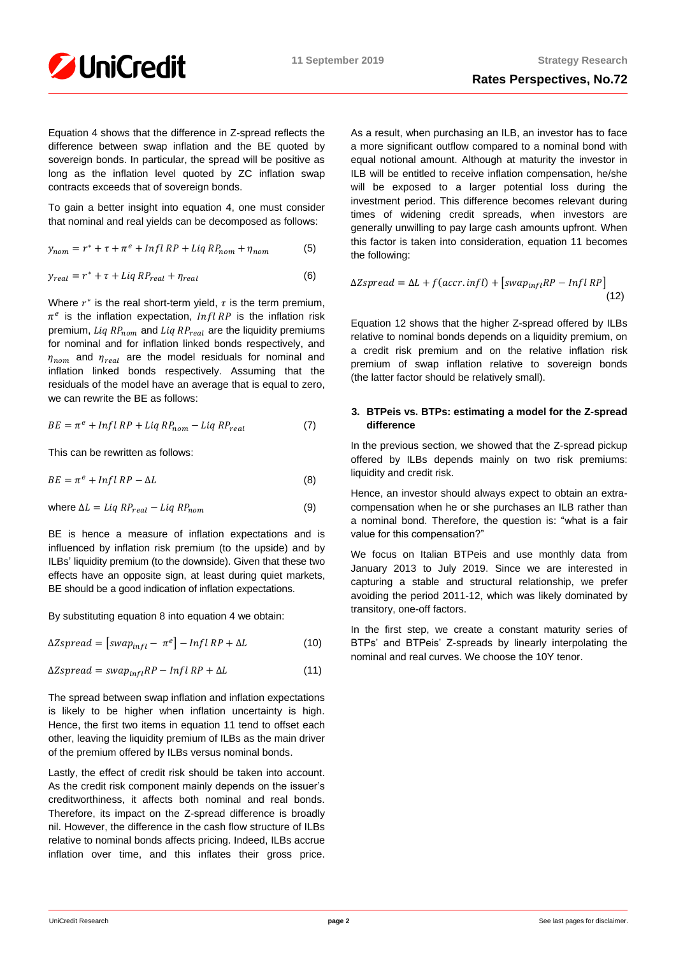

Equation 4 shows that the difference in Z-spread reflects the difference between swap inflation and the BE quoted by sovereign bonds. In particular, the spread will be positive as long as the inflation level quoted by ZC inflation swap contracts exceeds that of sovereign bonds.

To gain a better insight into equation 4, one must consider that nominal and real yields can be decomposed as follows:

$$
y_{nom} = r^* + \tau + \pi^e + Infl \, RP + Liq \, RP_{nom} + \eta_{nom} \tag{5}
$$

$$
y_{real} = r^* + \tau + Liq \, RP_{real} + \eta_{real} \tag{6}
$$

Where  $r^*$  is the real short-term yield,  $\tau$  is the term premium,  $\pi^e$  is the inflation expectation,  $Infl$  RP is the inflation risk premium, Liq  $RP_{nom}$  and Liq  $RP_{real}$  are the liquidity premiums for nominal and for inflation linked bonds respectively, and  $\eta_{nom}$  and  $\eta_{real}$  are the model residuals for nominal and inflation linked bonds respectively. Assuming that the residuals of the model have an average that is equal to zero, we can rewrite the BE as follows:

$$
BE = \pi^e + Infl\ RP + Liq\ RP_{nom} - Liq\ RP_{real} \tag{7}
$$

This can be rewritten as follows:

$$
BE = \pi^e + Infl\,RP - \Delta L\tag{8}
$$

where 
$$
\Delta L = Liq \, RP_{real} - Liq \, RP_{nom}
$$
 (9)

BE is hence a measure of inflation expectations and is influenced by inflation risk premium (to the upside) and by ILBs' liquidity premium (to the downside). Given that these two effects have an opposite sign, at least during quiet markets, BE should be a good indication of inflation expectations.

By substituting equation 8 into equation 4 we obtain:

$$
\Delta Z spread = [swap_{infl} - \pi^e] - Infl\,RP + \Delta L \tag{10}
$$

$$
\Delta Z spread = swap_{infl} RP - InflRP + \Delta L \tag{11}
$$

The spread between swap inflation and inflation expectations is likely to be higher when inflation uncertainty is high. Hence, the first two items in equation 11 tend to offset each other, leaving the liquidity premium of ILBs as the main driver of the premium offered by ILBs versus nominal bonds.

Lastly, the effect of credit risk should be taken into account. As the credit risk component mainly depends on the issuer's creditworthiness, it affects both nominal and real bonds. Therefore, its impact on the Z-spread difference is broadly nil. However, the difference in the cash flow structure of ILBs relative to nominal bonds affects pricing. Indeed, ILBs accrue inflation over time, and this inflates their gross price.

As a result, when purchasing an ILB, an investor has to face a more significant outflow compared to a nominal bond with equal notional amount. Although at maturity the investor in ILB will be entitled to receive inflation compensation, he/she will be exposed to a larger potential loss during the investment period. This difference becomes relevant during times of widening credit spreads, when investors are generally unwilling to pay large cash amounts upfront. When this factor is taken into consideration, equation 11 becomes the following:

$$
\Delta Z spread = \Delta L + f(accr. infl) + [swap_{infl}RP - InflRP]
$$
\n(12)

Equation 12 shows that the higher Z-spread offered by ILBs relative to nominal bonds depends on a liquidity premium, on a credit risk premium and on the relative inflation risk premium of swap inflation relative to sovereign bonds (the latter factor should be relatively small).

# **3. BTPeis vs. BTPs: estimating a model for the Z-spread difference**

In the previous section, we showed that the Z-spread pickup offered by ILBs depends mainly on two risk premiums: liquidity and credit risk.

Hence, an investor should always expect to obtain an extracompensation when he or she purchases an ILB rather than a nominal bond. Therefore, the question is: "what is a fair value for this compensation?"

We focus on Italian BTPeis and use monthly data from January 2013 to July 2019. Since we are interested in capturing a stable and structural relationship, we prefer avoiding the period 2011-12, which was likely dominated by transitory, one-off factors.

In the first step, we create a constant maturity series of BTPs' and BTPeis' Z-spreads by linearly interpolating the nominal and real curves. We choose the 10Y tenor.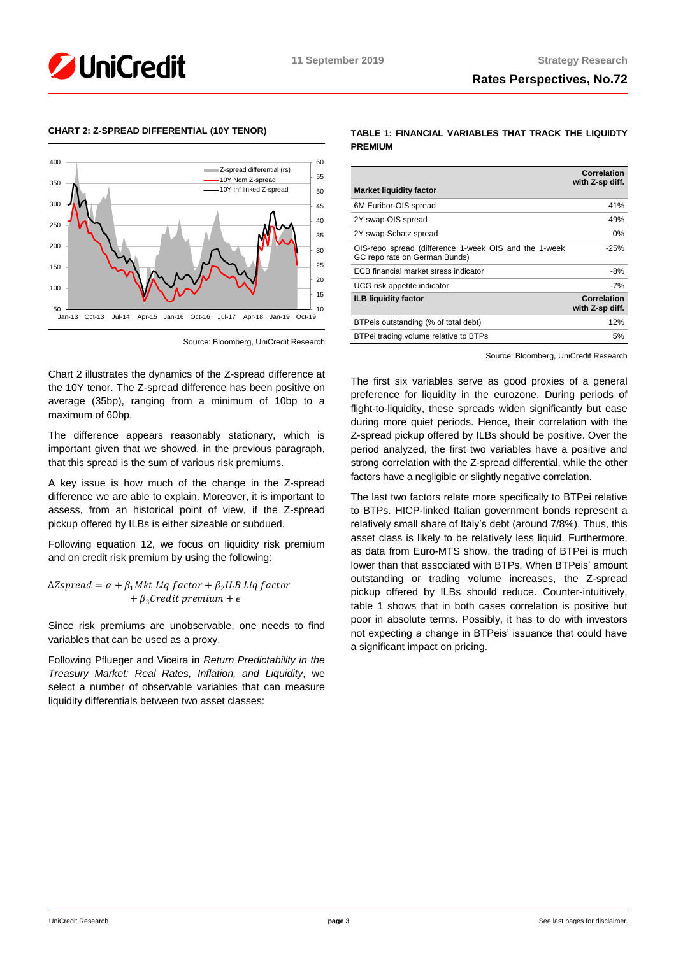



# **CHART 2: Z-SPREAD DIFFERENTIAL (10Y TENOR)**

Source: Bloomberg, UniCredit Research

Chart 2 illustrates the dynamics of the Z-spread difference at the 10Y tenor. The Z-spread difference has been positive on average (35bp), ranging from a minimum of 10bp to a maximum of 60bp.

The difference appears reasonably stationary, which is important given that we showed, in the previous paragraph, that this spread is the sum of various risk premiums.

A key issue is how much of the change in the Z-spread difference we are able to explain. Moreover, it is important to assess, from an historical point of view, if the Z-spread pickup offered by ILBs is either sizeable or subdued.

Following equation 12, we focus on liquidity risk premium and on credit risk premium by using the following:

 $\Delta Z$ spread =  $\alpha + \beta_1 M$ kt Liq factor +  $\beta_2 ILB$  Liq factor  $+ \beta_3 C$ redit premium  $+ \epsilon$ 

Since risk premiums are unobservable, one needs to find variables that can be used as a proxy.

Following Pflueger and Viceira in *Return Predictability in the Treasury Market: Real Rates, Inflation, and Liquidity*, we select a number of observable variables that can measure liquidity differentials between two asset classes:

**TABLE 1: FINANCIAL VARIABLES THAT TRACK THE LIQUIDTY PREMIUM**

| <b>Market liquidity factor</b>                                                         | <b>Correlation</b><br>with Z-sp diff. |
|----------------------------------------------------------------------------------------|---------------------------------------|
| 6M Euribor-OIS spread                                                                  | 41%                                   |
| 2Y swap-OIS spread                                                                     | 49%                                   |
| 2Y swap-Schatz spread                                                                  | $0\%$                                 |
| OIS-repo spread (difference 1-week OIS and the 1-week<br>GC repo rate on German Bunds) | $-25%$                                |
| ECB financial market stress indicator                                                  | -8%                                   |
| UCG risk appetite indicator                                                            | $-7%$                                 |
| <b>ILB liquidity factor</b>                                                            | Correlation<br>with Z-sp diff.        |
| BTPeis outstanding (% of total debt)                                                   | 12%                                   |
| BTPei trading volume relative to BTPs                                                  | 5%                                    |

Source: Bloomberg, UniCredit Research

The first six variables serve as good proxies of a general preference for liquidity in the eurozone. During periods of flight-to-liquidity, these spreads widen significantly but ease during more quiet periods. Hence, their correlation with the Z-spread pickup offered by ILBs should be positive. Over the period analyzed, the first two variables have a positive and strong correlation with the Z-spread differential, while the other factors have a negligible or slightly negative correlation.

The last two factors relate more specifically to BTPei relative to BTPs. HICP-linked Italian government bonds represent a relatively small share of Italy's debt (around 7/8%). Thus, this asset class is likely to be relatively less liquid. Furthermore, as data from Euro-MTS show, the trading of BTPei is much lower than that associated with BTPs. When BTPeis' amount outstanding or trading volume increases, the Z-spread pickup offered by ILBs should reduce. Counter-intuitively, table 1 shows that in both cases correlation is positive but poor in absolute terms. Possibly, it has to do with investors not expecting a change in BTPeis' issuance that could have a significant impact on pricing.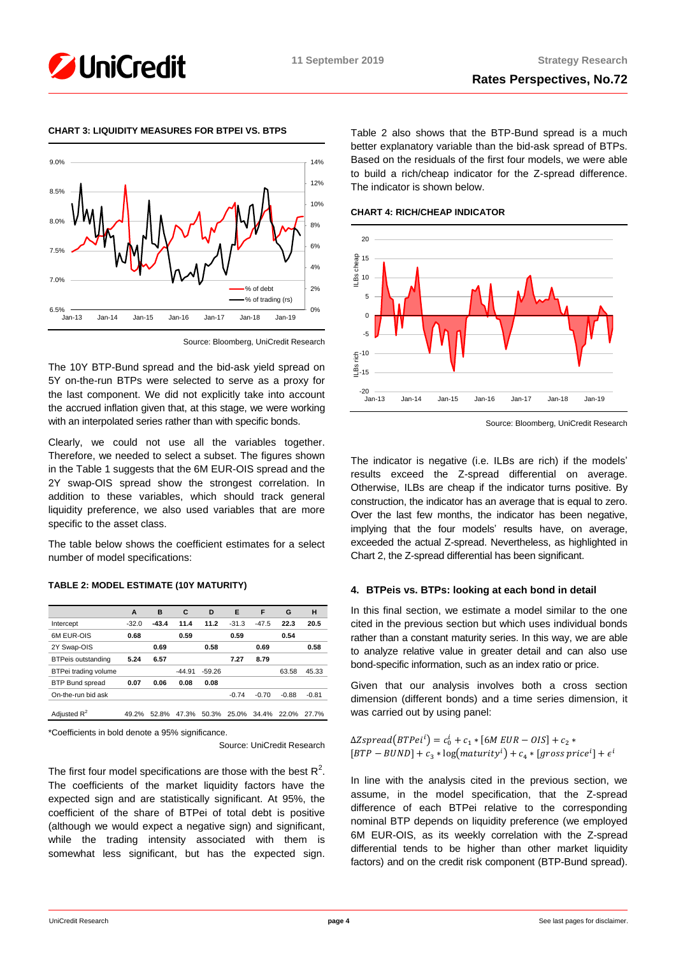



# **CHART 3: LIQUIDITY MEASURES FOR BTPEI VS. BTPS**

Source: Bloomberg, UniCredit Research

The 10Y BTP-Bund spread and the bid-ask yield spread on 5Y on-the-run BTPs were selected to serve as a proxy for the last component. We did not explicitly take into account the accrued inflation given that, at this stage, we were working with an interpolated series rather than with specific bonds.

Clearly, we could not use all the variables together. Therefore, we needed to select a subset. The figures shown in the Table 1 suggests that the 6M EUR-OIS spread and the 2Y swap-OIS spread show the strongest correlation. In addition to these variables, which should track general liquidity preference, we also used variables that are more specific to the asset class.

The table below shows the coefficient estimates for a select number of model specifications:

# **TABLE 2: MODEL ESTIMATE (10Y MATURITY)**

| A       | B       | C        | D        | Е       | F           | G       | н       |
|---------|---------|----------|----------|---------|-------------|---------|---------|
| $-32.0$ | $-43.4$ | 11.4     | 11.2     | $-31.3$ | $-47.5$     | 22.3    | 20.5    |
| 0.68    |         | 0.59     |          | 0.59    |             | 0.54    |         |
|         | 0.69    |          | 0.58     |         | 0.69        |         | 0.58    |
| 5.24    | 6.57    |          |          | 7.27    | 8.79        |         |         |
|         |         | $-44.91$ | $-59.26$ |         |             | 63.58   | 45.33   |
| 0.07    | 0.06    | 0.08     | 0.08     |         |             |         |         |
|         |         |          |          | $-0.74$ | $-0.70$     | $-0.88$ | $-0.81$ |
|         |         |          |          |         |             |         |         |
| 49.2%   | 52.8%   | 47.3%    |          |         | 34.4%       | 22.0%   | 27.7%   |
|         |         |          |          |         | 50.3% 25.0% |         |         |

\*Coefficients in bold denote a 95% significance.

Source: UniCredit Research

The first four model specifications are those with the best  $R^2$ . The coefficients of the market liquidity factors have the expected sign and are statistically significant. At 95%, the coefficient of the share of BTPei of total debt is positive (although we would expect a negative sign) and significant, while the trading intensity associated with them is somewhat less significant, but has the expected sign.

Table 2 also shows that the BTP-Bund spread is a much better explanatory variable than the bid-ask spread of BTPs. Based on the residuals of the first four models, we were able to build a rich/cheap indicator for the Z-spread difference. The indicator is shown below.

**CHART 4: RICH/CHEAP INDICATOR**



Source: Bloomberg, UniCredit Research

The indicator is negative (i.e. ILBs are rich) if the models' results exceed the Z-spread differential on average. Otherwise, ILBs are cheap if the indicator turns positive. By construction, the indicator has an average that is equal to zero. Over the last few months, the indicator has been negative, implying that the four models' results have, on average, exceeded the actual Z-spread. Nevertheless, as highlighted in Chart 2, the Z-spread differential has been significant.

# **4. BTPeis vs. BTPs: looking at each bond in detail**

In this final section, we estimate a model similar to the one cited in the previous section but which uses individual bonds rather than a constant maturity series. In this way, we are able to analyze relative value in greater detail and can also use bond-specific information, such as an index ratio or price.

Given that our analysis involves both a cross section dimension (different bonds) and a time series dimension, it was carried out by using panel:

 $ΔZspread(BTPei<sup>i</sup>) = c<sub>0</sub><sup>i</sup> + c<sub>1</sub> * [6M EUR – OIS] + c<sub>2</sub> *$  $[BTP - BUND] + c_3 * log(maturity<sup>i</sup>) + c_4 * [gross price<sup>i</sup>] + \epsilon<sup>i</sup>$ 

In line with the analysis cited in the previous section, we assume, in the model specification, that the Z-spread difference of each BTPei relative to the corresponding nominal BTP depends on liquidity preference (we employed 6M EUR-OIS, as its weekly correlation with the Z-spread differential tends to be higher than other market liquidity factors) and on the credit risk component (BTP-Bund spread).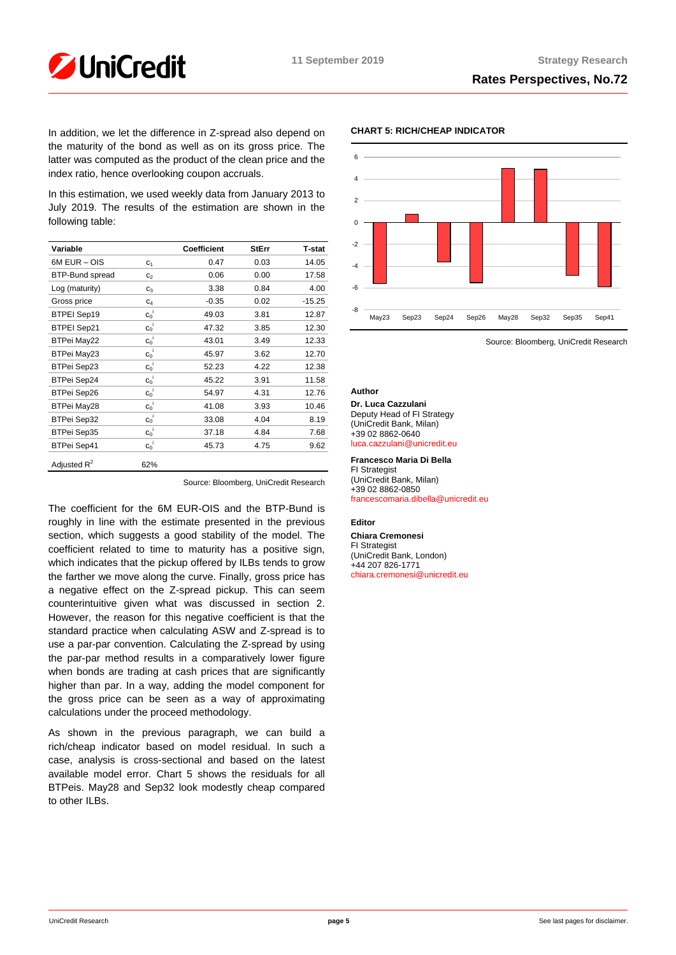

In addition, we let the difference in Z-spread also depend on the maturity of the bond as well as on its gross price. The latter was computed as the product of the clean price and the index ratio, hence overlooking coupon accruals.

In this estimation, we used weekly data from January 2013 to July 2019. The results of the estimation are shown in the following table:

| Variable               |                    | <b>Coefficient</b> | <b>StErr</b> | <b>T-stat</b> |
|------------------------|--------------------|--------------------|--------------|---------------|
| 6M EUR - OIS           | C <sub>1</sub>     | 0.47               | 0.03         | 14.05         |
| <b>BTP-Bund spread</b> | C <sub>2</sub>     | 0.06               | 0.00         | 17.58         |
| Log (maturity)         | $C_3$              | 3.38               | 0.84         | 4.00          |
| Gross price            | C <sub>4</sub>     | $-0.35$            | 0.02         | $-15.25$      |
| <b>BTPEI Sep19</b>     | $c_0$ <sup>i</sup> | 49.03              | 3.81         | 12.87         |
| <b>BTPEI Sep21</b>     | $c_0$ <sup>i</sup> | 47.32              | 3.85         | 12.30         |
| <b>BTPei May22</b>     | $c_0$ <sup>i</sup> | 43.01              | 3.49         | 12.33         |
| BTPei May23            | $c_0$              | 45.97              | 3.62         | 12.70         |
| <b>BTPei Sep23</b>     | $C_0$              | 52.23              | 4.22         | 12.38         |
| <b>BTPei Sep24</b>     | $c_0$ <sup>i</sup> | 45.22              | 3.91         | 11.58         |
| <b>BTPei Sep26</b>     | $c_0$ <sup>i</sup> | 54.97              | 4.31         | 12.76         |
| BTPei May28            | $c_0$ <sup>i</sup> | 41.08              | 3.93         | 10.46         |
| <b>BTPei Sep32</b>     | $c_0$ <sup>i</sup> | 33.08              | 4.04         | 8.19          |
| <b>BTPei Sep35</b>     | $C_0$              | 37.18              | 4.84         | 7.68          |
| <b>BTPei Sep41</b>     | $c_0$ <sup>i</sup> | 45.73              | 4.75         | 9.62          |
| Adjusted $R^2$         | 62%                |                    |              |               |

Source: Bloomberg, UniCredit Research

The coefficient for the 6M EUR-OIS and the BTP-Bund is roughly in line with the estimate presented in the previous section, which suggests a good stability of the model. The coefficient related to time to maturity has a positive sign, which indicates that the pickup offered by ILBs tends to grow the farther we move along the curve. Finally, gross price has a negative effect on the Z-spread pickup. This can seem counterintuitive given what was discussed in section 2. However, the reason for this negative coefficient is that the standard practice when calculating ASW and Z-spread is to use a par-par convention. Calculating the Z-spread by using the par-par method results in a comparatively lower figure when bonds are trading at cash prices that are significantly higher than par. In a way, adding the model component for the gross price can be seen as a way of approximating calculations under the proceed methodology.

As shown in the previous paragraph, we can build a rich/cheap indicator based on model residual. In such a case, analysis is cross-sectional and based on the latest available model error. Chart 5 shows the residuals for all BTPeis. May28 and Sep32 look modestly cheap compared to other ILBs.

# **CHART 5: RICH/CHEAP INDICATOR**



Source: Bloomberg, UniCredit Research

#### **Author**

**Dr. Luca Cazzulani** Deputy Head of FI Strategy (UniCredit Bank, Milan) +39 02 8862-0640 [luca.cazzulani@unicredit.eu](mailto:luca.cazzulani@unicredit.eu)

**Francesco Maria Di Bella** FI Strategist

(UniCredit Bank, Milan) +39 02 8862-0850 [francescomaria.dibella@unicredit.eu](mailto:francescomaria.dibella@unicredit.eu)

#### **Editor**

**Chiara Cremonesi** FI Strategist (UniCredit Bank, London) +44 207 826-1771 [chiara.cremonesi@unicredit.eu](mailto:chiara.cremonesi@unicredit.eu)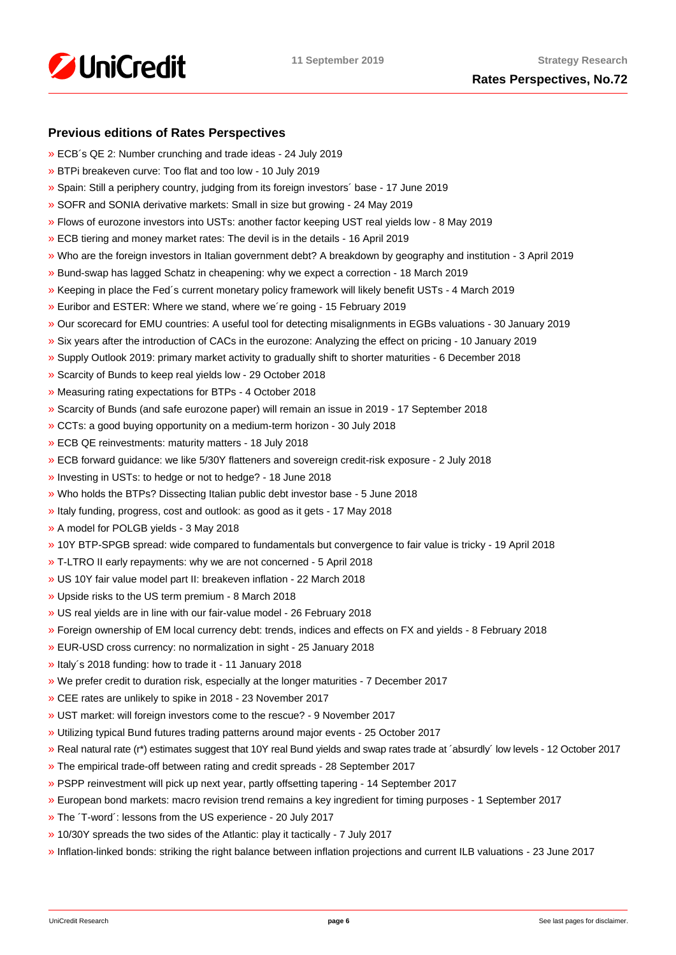

# **Previous editions of Rates Perspectives**

- [»](https://www.research.unicredit.eu/DocsKey/fxfistrategy_docs_2019_173046.ashx?EXT=pdf&KEY=KZGTuQCn4lsvclJnUgseVEGHysWJl2NsYmN8grxHaGuMlNiR5FCG-Q==&T=1) ECB´s QE 2: Number crunching and trade ideas 24 July 2019
- [»](https://www.research.unicredit.eu/DocsKey/fxfistrategy_docs_2019_172874.ashx?EXT=pdf&KEY=KZGTuQCn4lsvclJnUgseVEGHysWJl2NsU6w4VN1R8ufrSpaKVsG8hw==&T=1) BTPi breakeven curve: Too flat and too low 10 July 2019
- [»](https://www.research.unicredit.eu/DocsKey/fxfistrategy_docs_2019_172612.ashx?EXT=pdf&KEY=KZGTuQCn4lsvclJnUgseVEGHysWJl2Ns2prJ4cLGo5kZAYkhTSIwiQ==&T=1) Spain: Still a periphery country, judging from its foreign investors´ base 17 June 2019
- [»](https://www.research.unicredit.eu/DocsKey/fxfistrategy_docs_2019_172362.ashx?EXT=pdf&KEY=KZGTuQCn4lsvclJnUgseVEGHysWJl2NsmV7mtWY1YutdeERi5OnkvA==&T=1) SOFR and SONIA derivative markets: Small in size but growing 24 May 2019
- [»](https://www.research.unicredit.eu/DocsKey/fxfistrategy_docs_2019_171193.ashx?EXT=pdf&KEY=KZGTuQCn4lsvclJnUgseVEGHysWJl2NsQ363zHJuO-4ubO81Q09WWw==&T=1) Flows of eurozone investors into USTs: another factor keeping UST real yields low 8 May 2019
- [»](https://www.research.unicredit.eu/DocsKey/fxfistrategy_docs_2019_170974.ashx?EXT=pdf&KEY=KZGTuQCn4lsvclJnUgseVEGHysWJl2NsRTomOaKjVl9lFV8OK8lXLA==&T=1) ECB tiering and money market rates: The devil is in the details 16 April 2019
- [»](https://www.research.unicredit.eu/DocsKey/fxfistrategy_docs_2019_170284.ashx?EXT=pdf&KEY=KZGTuQCn4lsvclJnUgseVEGHysWJl2NsEwG0xblWxFK9BVQAB4eryA==&T=1) Who are the foreign investors in Italian government debt? A breakdown by geography and institution 3 April 2019
- [»](https://www.research.unicredit.eu/DocsKey/fxfistrategy_docs_2019_170066.ashx?EXT=pdf&KEY=KZGTuQCn4lsvclJnUgseVEGHysWJl2NsNOWCS-vPqTdpZhijXIyJ5Q==&T=1) Bund-swap has lagged Schatz in cheapening: why we expect a correction 18 March 2019
- [»](https://www.research.unicredit.eu/DocsKey/fxfistrategy_docs_2019_169883.ashx?EXT=pdf&KEY=KZGTuQCn4lsvclJnUgseVEGHysWJl2Nsz9dXRsXwpAsZUUpCjW9eRw==&T=1) Keeping in place the Fed´s current monetary policy framework will likely benefit USTs 4 March 2019
- [»](https://www.research.unicredit.eu/DocsKey/fxfistrategy_docs_2019_169681.ashx?EXT=pdf&KEY=KZGTuQCn4lsvclJnUgseVEGHysWJl2NsvFsIe2gTc3YHhaYXz8CyMQ==&T=1) Euribor and ESTER: Where we stand, where we´re going 15 February 2019
- [»](https://www.research.unicredit.eu/DocsKey/fxfistrategy_docs_2019_168976.ashx?EXT=pdf&KEY=KZGTuQCn4lsvclJnUgseVEGHysWJl2NsBRIhGRL9OpCAofKNpRdbqw==&T=1) Our scorecard for EMU countries: A useful tool for detecting misalignments in EGBs valuations 30 January 2019
- [»](https://www.research.unicredit.eu/DocsKey/fxfistrategy_docs_2019_168690.ashx?EXT=pdf&KEY=KZGTuQCn4lsvclJnUgseVEGHysWJl2Ns6zwNCeXNSn5_WEAdcnzkSw==&T=1) Six years after the introduction of CACs in the eurozone: Analyzing the effect on pricing 10 January 2019
- [»](https://www.research.unicredit.eu/DocsKey/fxfistrategy_docs_2018_168081.ashx?EXT=pdf&KEY=KZGTuQCn4lsvclJnUgseVGkpNcRXR5-WdODblZpTi0A4RE9IYOSOOA==&T=1) Supply Outlook 2019: primary market activity to gradually shift to shorter maturities 6 December 2018
- [»](https://www.research.unicredit.eu/DocsKey/fxfistrategy_docs_2018_167651.ashx?EXT=pdf&KEY=KZGTuQCn4lsvclJnUgseVGkpNcRXR5-WLbIUypeIHxyD3rdrNgjwjg==&T=1) Scarcity of Bunds to keep real yields low 29 October 2018
- [»](https://www.research.unicredit.eu/DocsKey/fxfistrategy_docs_2018_167362.ashx?EXT=pdf&KEY=KZGTuQCn4lsvclJnUgseVGkpNcRXR5-W7gOokc4_UKGkd-Hy3Wx_vg==&T=1) Measuring rating expectations for BTPs 4 October 2018
- [»](https://www.research.unicredit.eu/DocsKey/fxfistrategy_docs_2018_167162.ashx?EXT=pdf&KEY=KZGTuQCn4lsvclJnUgseVGkpNcRXR5-WLonU6aW-riDJHVt4RBRKJQ==&T=1) Scarcity of Bunds (and safe eurozone paper) will remain an issue in 2019 17 September 2018
- [»](https://www.research.unicredit.eu/DocsKey/fxfistrategy_docs_2018_166735.ashx?EXT=pdf&KEY=KZGTuQCn4lsvclJnUgseVGkpNcRXR5-WJcyLXLDNCHrk_1IGoA85eQ==&T=1) CCTs: a good buying opportunity on a medium-term horizon 30 July 2018
- [»](https://www.research.unicredit.eu/DocsKey/fxfistrategy_docs_2018_165506.ashx?EXT=pdf&KEY=KZGTuQCn4lsvclJnUgseVGkpNcRXR5-WelAdBLCjwv2CsrEf1G_7vA==&T=1) ECB QE reinvestments: maturity matters 18 July 2018
- [»](https://www.research.unicredit.eu/DocsKey/fxfistrategy_docs_2018_165296.ashx?EXT=pdf&KEY=KZGTuQCn4lsvclJnUgseVGkpNcRXR5-Wl83fmK6epfPJRPrdFbpp8A==&T=1) ECB forward guidance: we like 5/30Y flatteners and sovereign credit-risk exposure 2 July 2018
- [»](https://www.research.unicredit.eu/DocsKey/fxfistrategy_docs_2018_165113.ashx?EXT=pdf&KEY=KZGTuQCn4lsvclJnUgseVGkpNcRXR5-WdMw8JSHF2Ih6d0UhMlk5iA==&T=1) Investing in USTs: to hedge or not to hedge? 18 June 2018
- [»](https://www.research.unicredit.eu/DocsKey/fxfistrategy_docs_2018_164967.ashx?EXT=pdf&KEY=KZGTuQCn4lsvclJnUgseVGkpNcRXR5-WLoNFhsvJBXHbE69WfFEurg==&T=1) Who holds the BTPs? Dissecting Italian public debt investor base 5 June 2018
- [»](https://www.research.unicredit.eu/DocsKey/fxfistrategy_docs_2018_164775.ashx?EXT=pdf&KEY=KZGTuQCn4lsvclJnUgseVGkpNcRXR5-WZF21zKfJuZ_5iLWWjJ2GpQ==&T=1) Italy funding, progress, cost and outlook: as good as it gets 17 May 2018
- [»](https://www.research.unicredit.eu/DocsKey/fxfistrategy_docs_2018_164589.ashx?EXT=pdf&KEY=KZGTuQCn4lsvclJnUgseVGkpNcRXR5-WHckxsj1laTH6N7QU0C6uzQ==&T=1) A model for POLGB yields 3 May 2018
- [»](https://www.research.unicredit.eu/DocsKey/fxfistrategy_docs_2018_164411.ashx?EXT=pdf&KEY=KZGTuQCn4lsvclJnUgseVGkpNcRXR5-W4Dmv9B6O0atd94s-0yUFlA==&T=1) 10Y BTP-SPGB spread: wide compared to fundamentals but convergence to fair value is tricky 19 April 2018
- [»](https://www.research.unicredit.eu/DocsKey/fxfistrategy_docs_2018_164242.ashx?EXT=pdf&KEY=KZGTuQCn4lsvclJnUgseVGkpNcRXR5-WFjPeFcDloA2Q8h6v6oWNhw==&T=1) T-LTRO II early repayments: why we are not concerned 5 April 2018
- [»](https://www.research.unicredit.eu/DocsKey/fxfistrategy_docs_2018_164099.ashx?EXT=pdf&KEY=KZGTuQCn4lsvclJnUgseVGkpNcRXR5-WK-s5y8Kxt0FmgxTPbhrZtA==&T=1) US 10Y fair value model part II: breakeven inflation 22 March 2018
- [»](https://www.research.unicredit.eu/DocsKey/fxfistrategy_docs_2018_163914.ashx?EXT=pdf&KEY=KZGTuQCn4lsvclJnUgseVGkpNcRXR5-W6uAyZrmo_juOWp31QBzAwQ==&T=1) Upside risks to the US term premium 8 March 2018
- [»](https://www.research.unicredit.eu/DocsKey/fxfistrategy_docs_2018_163795.ashx?EXT=pdf&KEY=KZGTuQCn4lsvclJnUgseVGkpNcRXR5-W31oteEsRkw-wRr-E75wyXQ==&T=1) US real yields are in line with our fair-value model 26 February 2018
- [»](https://www.research.unicredit.eu/DocsKey/fxfistrategy_docs_2018_163569.ashx?EXT=pdf&KEY=KZGTuQCn4lsvclJnUgseVGkpNcRXR5-WOwinUv5yvR4A_iRZMMXqUg==&T=1) Foreign ownership of EM local currency debt: trends, indices and effects on FX and yields 8 February 2018
- [»](https://www.research.unicredit.eu/DocsKey/fxfistrategy_docs_2018_163350.ashx?EXT=pdf&KEY=KZGTuQCn4lsvclJnUgseVGkpNcRXR5-WSfc0pL8-Nw1KrcsN90zewQ==&T=1) EUR-USD cross currency: no normalization in sight 25 January 2018
- [»](https://www.research.unicredit.eu/DocsKey/fxfistrategy_docs_2018_163165.ashx?EXT=pdf&KEY=KZGTuQCn4lsvclJnUgseVGkpNcRXR5-WizOxQ_qd2pKve_EGsME8pw==&T=1) Italy´s 2018 funding: how to trade it 11 January 2018
- [»](https://www.research.unicredit.eu/DocsKey/fxfistrategy_docs_2017_162876.ashx?EXT=pdf&KEY=KZGTuQCn4lsvclJnUgseVBaZnvdiHIQjhlAgRXaAk9xO-WbIBHzmug==&T=1) We prefer credit to duration risk, especially at the longer maturities 7 December 2017
- [»](https://www.research.unicredit.eu/DocsKey/fxfistrategy_docs_2017_162702.ashx?EXT=pdf&KEY=KZGTuQCn4lsvclJnUgseVBaZnvdiHIQj7kV9jp7KGvx_rQqXOlHcBw==&T=1) CEE rates are unlikely to spike in 2018 23 November 2017
- [»](https://www.research.unicredit.eu/DocsKey/fxfistrategy_docs_2017_162521.ashx?EXT=pdf&KEY=KZGTuQCn4lsvclJnUgseVBaZnvdiHIQjHP5HTV6m0S1CZt4h4v7Z7Q==&T=1) UST market: will foreign investors come to the rescue? 9 November 2017
- [»](https://www.research.unicredit.eu/DocsKey/fxfistrategy_docs_2017_162320.ashx?EXT=pdf&KEY=KZGTuQCn4lsvclJnUgseVBaZnvdiHIQj7vBnJBqFdLl3ZPdTI9qTEg==&T=1) Utilizing typical Bund futures trading patterns around major events 25 October 2017
- [»](https://www.research.unicredit.eu/DocsKey/fxfistrategy_docs_2017_162088.ashx?EXT=pdf&KEY=KZGTuQCn4lsvclJnUgseVBaZnvdiHIQjLG2elrHjRgNsVyg0ExmjEg==&T=1) Real natural rate (r\*) estimates suggest that 10Y real Bund yields and swap rates trade at ´absurdly´ low levels 12 October 2017
- [»](https://www.research.unicredit.eu/DocsKey/fxfistrategy_docs_2017_161898.ashx?EXT=pdf&KEY=KZGTuQCn4lsvclJnUgseVBaZnvdiHIQjrj0KZCHHFHi6OScMLpHSeg==&T=1) The empirical trade-off between rating and credit spreads 28 September 2017
- [»](https://www.research.unicredit.eu/DocsKey/fxfistrategy_docs_2017_161722.ashx?EXT=pdf&KEY=KZGTuQCn4lsvclJnUgseVBaZnvdiHIQj2RiMvOdXRPDdJKTt9ts8Kg==&T=1) PSPP reinvestment will pick up next year, partly offsetting tapering 14 September 2017
- [»](https://www.research.unicredit.eu/DocsKey/fxfistrategy_docs_2017_161534.ashx?EXT=pdf&KEY=KZGTuQCn4lsvclJnUgseVBaZnvdiHIQjVxL97NWBQ2U0RIuZAXWj6Q==&T=1) European bond markets: macro revision trend remains a key ingredient for timing purposes 1 September 2017
- [»](https://www.research.unicredit.eu/DocsKey/fxfistrategy_docs_2017_161025.ashx?EXT=pdf&KEY=KZGTuQCn4lsvclJnUgseVBaZnvdiHIQjHTPE5wRiE1gKKsnUfpC3fQ==&T=1) The ´T-word´: lessons from the US experience 20 July 2017
- [»](https://www.research.unicredit.eu/DocsKey/fxfistrategy_docs_2017_160810.ashx?EXT=pdf&KEY=KZGTuQCn4lsvclJnUgseVBaZnvdiHIQjtaQqMdLfQgUWFRAgBEcyHQ==&T=1) 10/30Y spreads the two sides of the Atlantic: play it tactically 7 July 2017
- [»](https://www.research.unicredit.eu/DocsKey/fxfistrategy_docs_2017_160511.ashx?EXT=pdf&KEY=KZGTuQCn4lsvclJnUgseVBaZnvdiHIQjPT9pq4vd_J0MIyuHYzmaBw==&T=1) Inflation-linked bonds: striking the right balance between inflation projections and current ILB valuations 23 June 2017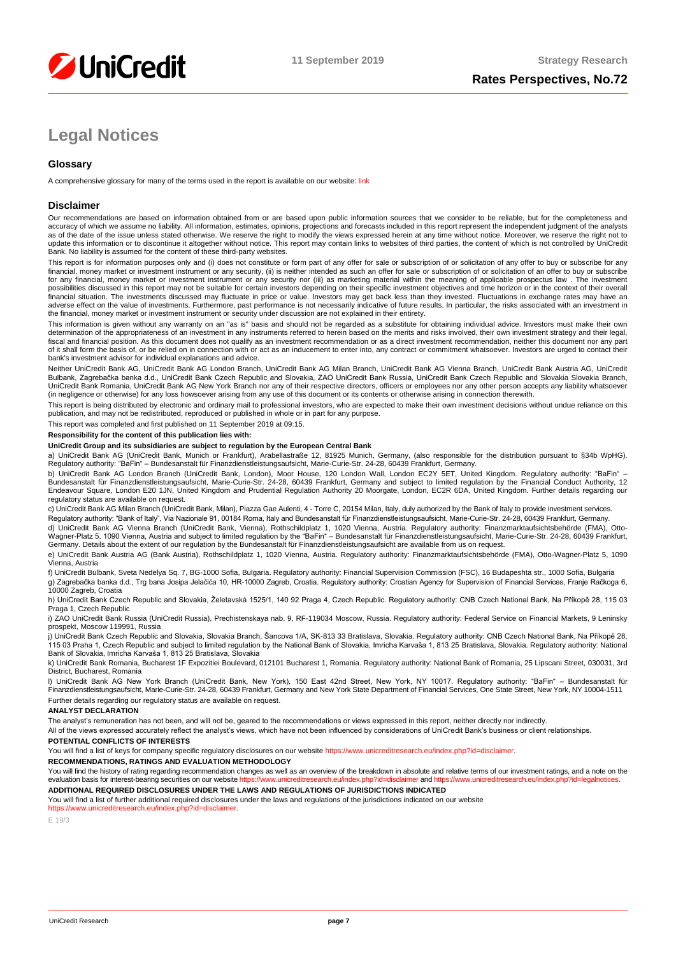

# **Legal Notices**

# **Glossary**

A comprehensive glossary for many of the terms used in the report is available on our website: [link](https://www.unicreditresearch.eu/index.php?id=glossary)

#### **Disclaimer**

Our recommendations are based on information obtained from or are based upon public information sources that we consider to be reliable, but for the completeness and<br>accuracy of which we assume no liability. All informatio as of the date of the issue unless stated otherwise. We reserve the right to modify the views expressed herein at any time without notice. Moreover, we reserve the right not to update this information or to discontinue it altogether without notice. This report may contain links to websites of third parties, the content of which is not controlled by UniCredit Bank. No liability is assumed for the content of these third-party websites.

This report is for information purposes only and (i) does not constitute or form part of any offer for sale or subscription of or solicitation of any offer to buy or subscribe for any<br>financial, money market or investment for any financial, money market or investment instrument or any security nor (iii) as marketing material within the meaning of applicable prospectus law . The investment possibilities discussed in this report may not be suitable for certain investors depending on their specific investment objectives and time horizon or in the context of their overall<br>financial situation. The investments di adverse effect on the value of investments. Furthermore, past performance is not necessarily indicative of future results. In particular, the risks associated with an investment in the financial, money market or investment instrument or security under discussion are not explained in their entirety.

This information is given without any warranty on an "as is" basis and should not be regarded as a substitute for obtaining individual advice. Investors must make their own determination of the appropriateness of an investment in any instruments referred to herein based on the merits and risks involved, their own investment strategy and their legal,<br>fiscal and financial position. As this docu of it shall form the basis of, or be relied on in connection with or act as an inducement to enter into, any contract or commitment whatsoever. Investors are urged to contact their bank's investment advisor for individual explanations and advice.

Neither UniCredit Bank AG, UniCredit Bank AG London Branch, UniCredit Bank AG Milan Branch, UniCredit Bank AG Vienna Branch, UniCredit Bank Austria AG, UniCredit Bulbank, Zagrebačka banka d.d., UniCredit Bank Czech Republic and Slovakia, ZAO UniCredit Bank Russia, UniCredit Bank Czech Republic and Slovakia Slovakia Branch,<br>UniCredit Bank Romania, UniCredit Bank AG New York Branch n (in negligence or otherwise) for any loss howsoever arising from any use of this document or its contents or otherwise arising in connection therewith.

This report is being distributed by electronic and ordinary mail to professional investors, who are expected to make their own investment decisions without undue reliance on this<br>publication, and may not be redistributed,

This report was completed and first published on 11 September 2019 at 09:15.

#### **Responsibility for the content of this publication lies with:**

#### **UniCredit Group and its subsidiaries are subject to regulation by the European Central Bank**

a) UniCredit Bank AG (UniCredit Bank, Munich or Frankfurt), Arabellastraße 12, 81925 Munich, Germany, (also responsible for the distribution pursuant to §34b WpHG). Regulatory authority: "BaFin" – Bundesanstalt für Finanzdienstleistungsaufsicht, Marie-Curie-Str. 24-28, 60439 Frankfurt, Germany.

b) UniCredit Bank AG London Branch (UniCredit Bank, London), Moor House, 120 London Wall, London EC2Y 5ET, United Kingdom. Regulatory authority: "BaFin" –<br>Bundesanstalt für Finanzdienstleistungsaufsicht, Marie-Curie-Str. 2 regulatory status are available on request.

c) UniCredit Bank AG Milan Branch (UniCredit Bank, Milan), Piazza Gae Aulenti, 4 - Torre C, 20154 Milan, Italy, duly authorized by the Bank of Italy to provide investment services.

Regulatory authority: "Bank of Italy", Via Nazionale 91, 00184 Roma, Italy and Bundesanstalt für Finanzdienstleistungsaufsicht, Marie-Curie-Str. 24-28, 60439 Frankfurt, Germany.

d) UniCredit Bank AG Vienna Branch (UniCredit Bank, Vienna), Rothschildplatz 1, 1020 Vienna, Austria. Regulatory authority: Finanzmarktaufsichtsbehörde (FMA), Otto-<br>Wagner-Platz 5, 1090 Vienna, Austria and subject to limit e) UniCredit Bank Austria AG (Bank Austria), Rothschildplatz 1, 1020 Vienna, Austria. Regulatory authority: Finanzmarktaufsichtsbehörde (FMA), Otto-Wagner-Platz 5, 1090

Vienna, Austria f) UniCredit Bulbank, Sveta Nedelya Sq. 7, BG-1000 Sofia, Bulgaria. Regulatory authority: Financial Supervision Commission (FSC), 16 Budapeshta str., 1000 Sofia, Bulgaria

g) Zagrebačka banka d.d., Trg bana Josipa Jelačića 10, HR-10000 Zagreb, Croatia. Regulatory authority: Croatian Agency for Supervision of Financial Services, Franje Račkoga 6, 10000 Zagreb, Croatia

h) UniCredit Bank Czech Republic and Slovakia, Želetavská 1525/1, 140 92 Praga 4, Czech Republic. Regulatory authority: CNB Czech National Bank, Na Příkopě 28, 115 03 Praga 1, Czech Republic

i) ZAO UniCredit Bank Russia (UniCredit Russia), Prechistenskaya nab. 9, RF-119034 Moscow, Russia. Regulatory authority: Federal Service on Financial Markets, 9 Leninsky prospekt, Moscow 119991, Russia

j) UniCredit Bank Czech Republic and Slovakia, Slovakia Branch, Sancova 1/A, SK-813 33 Bratislava, Slovakia. Regulatory authority: CNB Czech National Bank, Na Příkopě 28,<br>115 03 Praha 1, Czech Republic and subject to limit

k) UniCredit Bank Romania, Bucharest 1F Expozitiei Boulevard, 012101 Bucharest 1, Romania. Regulatory authority: National Bank of Romania, 25 Lipscani Street, 030031, 3rd District, Bucharest, Romania

l) UniCredit Bank AG New York Branch (UniCredit Bank, New York), 150 East 42nd Street, New York, NY 10017. Regulatory authority: "BaFin" – Bundesanstalt für Finanzdienstleistungsaufsicht, Marie-Curie-Str. 24-28, 60439 Frankfurt, Germany and New York State Department of Financial Services, One State Street, New York, NY 10004-1511 Further details regarding our regulatory status are available on request.

#### **ANALYST DECLARATION**

The analyst's remuneration has not been, and will not be, geared to the recommendations or views expressed in this report, neither directly nor indirectly.

All of the views expressed accurately reflect the analyst's views, which have not been influenced by considerations of UniCredit Bank's business or client relationships.

#### **POTENTIAL CONFLICTS OF INTERESTS**

You will find a list of keys for company specific regulatory disclosures on our websit[e https://www.unicreditresearch.eu/index.php?id=disclaimer.](https://www.unicreditresearch.eu/index.php?id=disclaimer)

#### **RECOMMENDATIONS, RATINGS AND EVALUATION METHODOLOGY**

You will find the history of rating regarding recommendation changes as well as an overview of the breakdown in absolute and relative terms of our investment ratings, and a note on the evaluation basis for interest-bearing evaluation basis for interest-bearing securities on our website https://www.unicreditresearch.euror.eu **ADDITIONAL REQUIRED DISCLOSURES UNDER THE LAWS AND REGULATIONS OF JURISDICTIONS INDICATED**

You will find a list of further additional required disclosures under the laws and regulations of the jurisdictions indicated on our website

#### [https://www.unicreditresearch.eu/index.php?id=disclaimer.](https://www.unicreditresearch.eu/index.php?id=disclaimer)

E 19/3